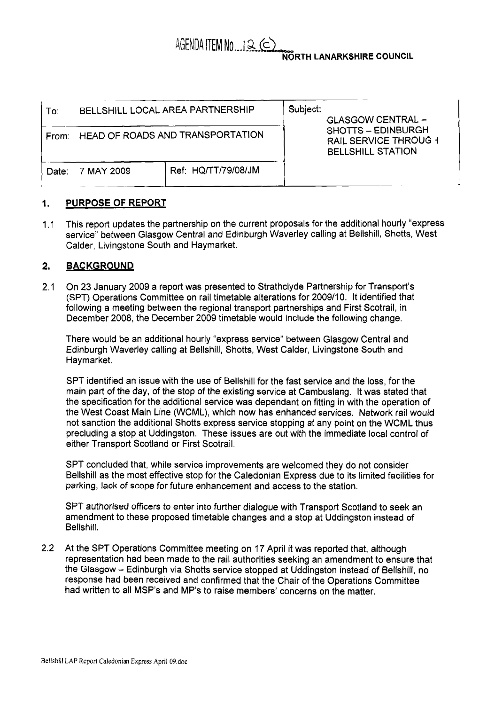# $AGENDA$  ITEM No...  $12$  ( $\subset$

#### **NORTH LANARKSHIRE COUNCIL**

| To:   | BELLSHILL LOCAL AREA PARTNERSHIP       |                     | Subject:<br><b>GLASGOW CENTRAL -</b><br><b>SHOTTS - EDINBURGH</b><br><b>RAIL SERVICE THROUG 1</b><br><b>BELLSHILL STATION</b> |  |
|-------|----------------------------------------|---------------------|-------------------------------------------------------------------------------------------------------------------------------|--|
|       | From: HEAD OF ROADS AND TRANSPORTATION |                     |                                                                                                                               |  |
| Date: | 7 MAY 2009                             | Ref: HQ/TT/79/08/JM |                                                                                                                               |  |

### I. **PURPOSE OF REPORT**

1.1 This report updates the partnership on the current proposals for the additional hourly "express service'' between Glasgow Central and Edinburgh Waverley calling at Bellshill, Shotts, West Calder, Livingstone South and Haymarket.

## **2. BACKGROUND**

2.1 On 23 January 2009 a report was presented to Strathclyde Partnership for Transport's (SPT) Operations Committee on rail timetable alterations for 2009/10. It identified that following a meeting between the regional transport partnerships and First Scotrail, in December 2008, the December 2009 timetable would include the following change.

There would be an additional hourly "express service" between Glasgow Central and Edinburgh Waverley calling at Bellshill, Shotts, West Calder, Livingstone South and Haymarket.

SPT identified an issue with the use of Bellshill for the fast service and the loss, for the main part of the day, of the stop of the existing service at Cambuslang. It was stated that the specification for the additional service was dependant on fitting in with the operation of the West Coast Main Line (WCML), which now has enhanced services. Network rail would not sanction the additional Shotts express service stopping at any point on the WCML thus precluding a stop at Uddingston. These issues are out with the immediate local control of either Transport Scotland or First Scotrail.

SPT concluded that, while service improvements are welcomed they do not consider Bellshill as the most effective stop for the Caledonian Express due to its limited facilities for parking, lack of scope for future enhancement and access to the station.

SPT authorised officers to enter into further dialogue with Transport Scotland to seek an amendment to these proposed timetable changes and a stop at Uddingston instead of Bellshill.

2.2 At the SPT Operations Committee meeting on 17 April it was reported that, although representation had been made to the rail authorities seeking an amendment to ensure that the Glasgow - Edinburgh via Shotts service stopped at Uddingston instead of Bellshill, no response had been received and confirmed that the Chair of the Operations Committee had written to all MSP's and MP's to raise members' concerns on the matter.